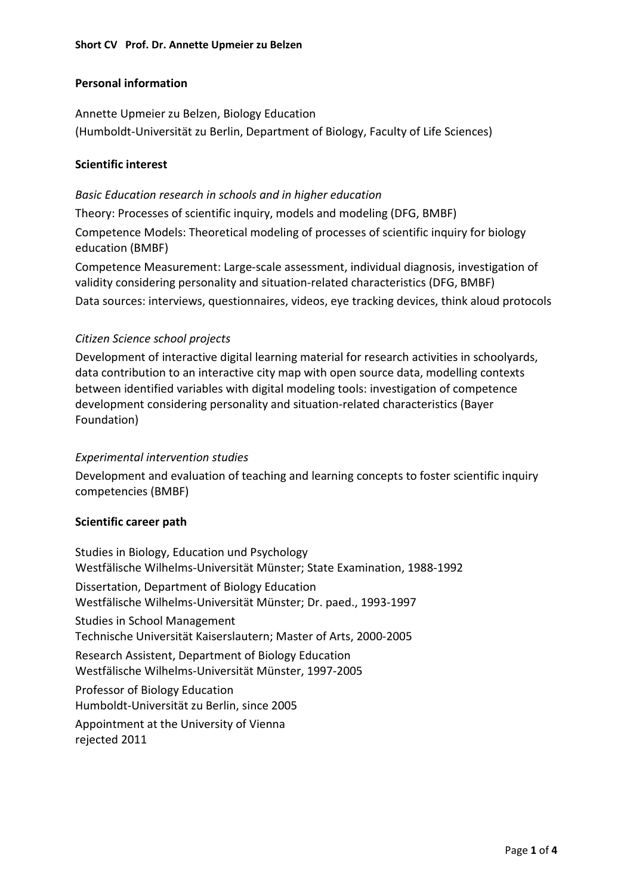# **Personal information**

Annette Upmeier zu Belzen, Biology Education (Humboldt-Universität zu Berlin, Department of Biology, Faculty of Life Sciences)

### **Scientific interest**

### *Basic Education research in schools and in higher education*

Theory: Processes of scientific inquiry, models and modeling (DFG, BMBF)

Competence Models: Theoretical modeling of processes of scientific inquiry for biology education (BMBF)

Competence Measurement: Large-scale assessment, individual diagnosis, investigation of validity considering personality and situation-related characteristics (DFG, BMBF) Data sources: interviews, questionnaires, videos, eye tracking devices, think aloud protocols

# *Citizen Science school projects*

Development of interactive digital learning material for research activities in schoolyards, data contribution to an interactive city map with open source data, modelling contexts between identified variables with digital modeling tools: investigation of competence development considering personality and situation-related characteristics (Bayer Foundation)

# *Experimental intervention studies*

Development and evaluation of teaching and learning concepts to foster scientific inquiry competencies (BMBF)

### **Scientific career path**

Studies in Biology, Education und Psychology Westfälische Wilhelms-Universität Münster; State Examination, 1988-1992 Dissertation, Department of Biology Education Westfälische Wilhelms-Universität Münster; Dr. paed., 1993-1997 Studies in School Management Technische Universität Kaiserslautern; Master of Arts, 2000-2005 Research Assistent, Department of Biology Education Westfälische Wilhelms-Universität Münster, 1997-2005 Professor of Biology Education Humboldt-Universität zu Berlin, since 2005 Appointment at the University of Vienna rejected 2011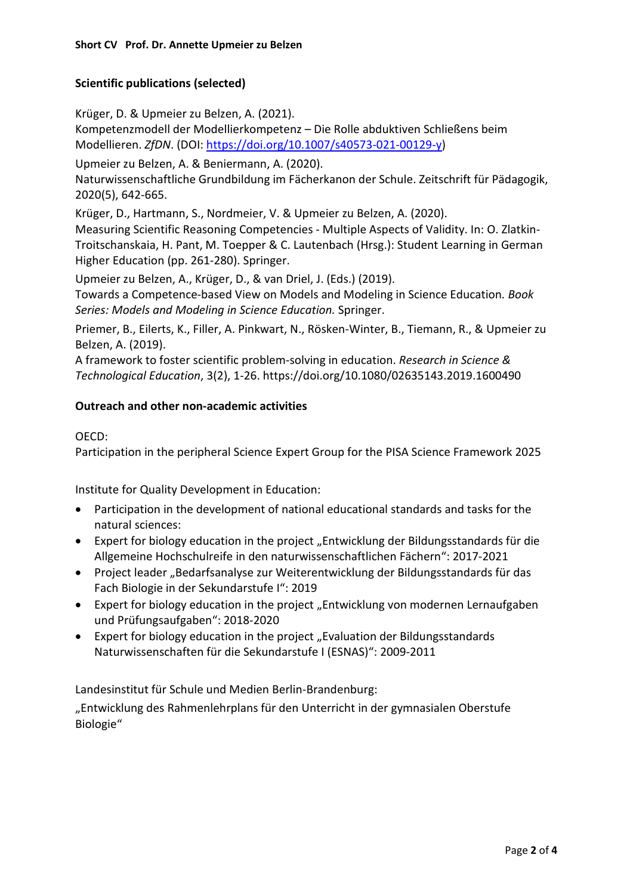# **Scientific publications (selected)**

Krüger, D. & Upmeier zu Belzen, A. (2021).

Kompetenzmodell der Modellierkompetenz – Die Rolle abduktiven Schließens beim Modellieren. *ZfDN*. (DOI: [https://doi.org/10.1007/s40573-021-00129-y\)](https://doi.org/10.1007/s40573-021-00129-y)

Upmeier zu Belzen, A. & Beniermann, A. (2020).

Naturwissenschaftliche Grundbildung im Fächerkanon der Schule. Zeitschrift für Pädagogik, 2020(5), 642-665.

Krüger, D., Hartmann, S., Nordmeier, V. & Upmeier zu Belzen, A. (2020).

Measuring Scientific Reasoning Competencies - Multiple Aspects of Validity. In: O. Zlatkin-Troitschanskaia, H. Pant, M. Toepper & C. Lautenbach (Hrsg.): Student Learning in German Higher Education (pp. 261-280). Springer.

Upmeier zu Belzen, A., Krüger, D., & van Driel, J. (Eds.) (2019).

Towards a Competence-based View on Models and Modeling in Science Education*. Book Series: Models and Modeling in Science Education.* Springer.

Priemer, B., Eilerts, K., Filler, A. Pinkwart, N., Rösken-Winter, B., Tiemann, R., & Upmeier zu Belzen, A. (2019).

A framework to foster scientific problem-solving in education. *Research in Science & Technological Education*, 3(2), 1-26. https://doi.org/10.1080/02635143.2019.1600490

### **Outreach and other non-academic activities**

#### OECD:

Participation in the peripheral Science Expert Group for the PISA Science Framework 2025

Institute for Quality Development in Education:

- Participation in the development of national educational standards and tasks for the natural sciences:
- Expert for biology education in the project "Entwicklung der Bildungsstandards für die Allgemeine Hochschulreife in den naturwissenschaftlichen Fächern": 2017-2021
- Project leader "Bedarfsanalyse zur Weiterentwicklung der Bildungsstandards für das Fach Biologie in der Sekundarstufe I": 2019
- Expert for biology education in the project "Entwicklung von modernen Lernaufgaben und Prüfungsaufgaben": 2018-2020
- Expert for biology education in the project "Evaluation der Bildungsstandards Naturwissenschaften für die Sekundarstufe I (ESNAS)": 2009-2011

Landesinstitut für Schule und Medien Berlin-Brandenburg:

"Entwicklung des Rahmenlehrplans für den Unterricht in der gymnasialen Oberstufe Biologie"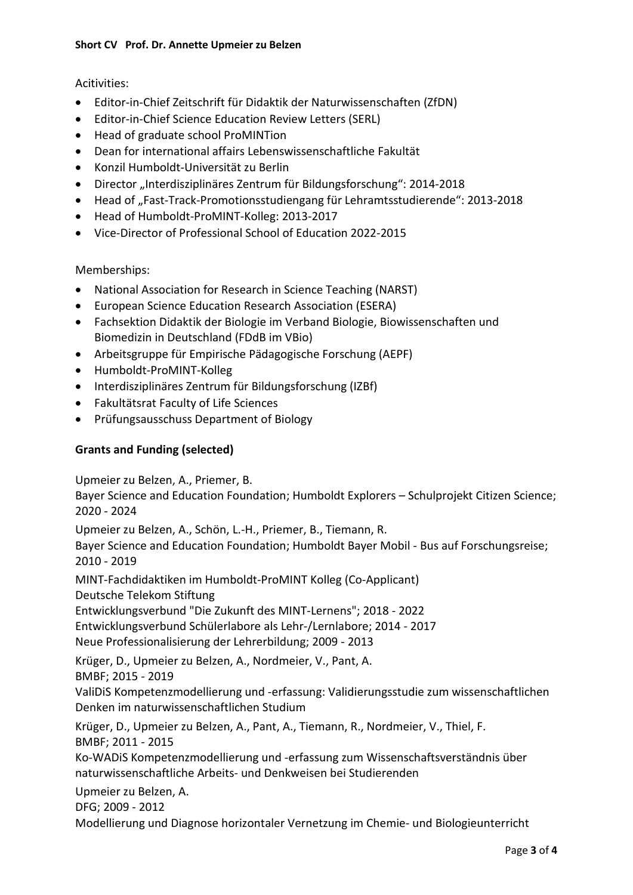# Acitivities:

- Editor-in-Chief Zeitschrift für Didaktik der Naturwissenschaften (ZfDN)
- Editor-in-Chief Science Education Review Letters (SERL)
- Head of graduate school ProMINTion
- Dean for international affairs Lebenswissenschaftliche Fakultät
- Konzil Humboldt-Universität zu Berlin
- Director "Interdisziplinäres Zentrum für Bildungsforschung": 2014-2018
- Head of "Fast-Track-Promotionsstudiengang für Lehramtsstudierende": 2013-2018
- Head of Humboldt-ProMINT-Kolleg: 2013-2017
- Vice-Director of Professional School of Education 2022-2015

### Memberships:

- National Association for Research in Science Teaching (NARST)
- European Science Education Research Association (ESERA)
- Fachsektion Didaktik der Biologie im Verband Biologie, Biowissenschaften und Biomedizin in Deutschland (FDdB im VBio)
- Arbeitsgruppe für Empirische Pädagogische Forschung (AEPF)
- Humboldt-ProMINT-Kolleg
- Interdisziplinäres Zentrum für Bildungsforschung (IZBf)
- Fakultätsrat Faculty of Life Sciences
- Prüfungsausschuss Department of Biology

### **Grants and Funding (selected)**

Upmeier zu Belzen, A., Priemer, B.

Bayer Science and Education Foundation; Humboldt Explorers – Schulprojekt Citizen Science; 2020 - 2024

Upmeier zu Belzen, A., Schön, L.-H., Priemer, B., Tiemann, R. Bayer Science and Education Foundation; Humboldt Bayer Mobil - Bus auf Forschungsreise; 2010 - 2019

MINT-Fachdidaktiken im Humboldt-ProMINT Kolleg (Co-Applicant) Deutsche Telekom Stiftung

Entwicklungsverbund "Die Zukunft des MINT-Lernens"; 2018 - 2022

Entwicklungsverbund Schülerlabore als Lehr-/Lernlabore; 2014 - 2017

Neue Professionalisierung der Lehrerbildung; 2009 - 2013

Krüger, D., Upmeier zu Belzen, A., Nordmeier, V., Pant, A.

BMBF; 2015 - 2019

ValiDiS Kompetenzmodellierung und -erfassung: Validierungsstudie zum wissenschaftlichen Denken im naturwissenschaftlichen Studium

Krüger, D., Upmeier zu Belzen, A., Pant, A., Tiemann, R., Nordmeier, V., Thiel, F. BMBF; 2011 - 2015

Ko-WADiS Kompetenzmodellierung und -erfassung zum Wissenschaftsverständnis über naturwissenschaftliche Arbeits- und Denkweisen bei Studierenden

Upmeier zu Belzen, A.

DFG; 2009 - 2012

Modellierung und Diagnose horizontaler Vernetzung im Chemie- und Biologieunterricht